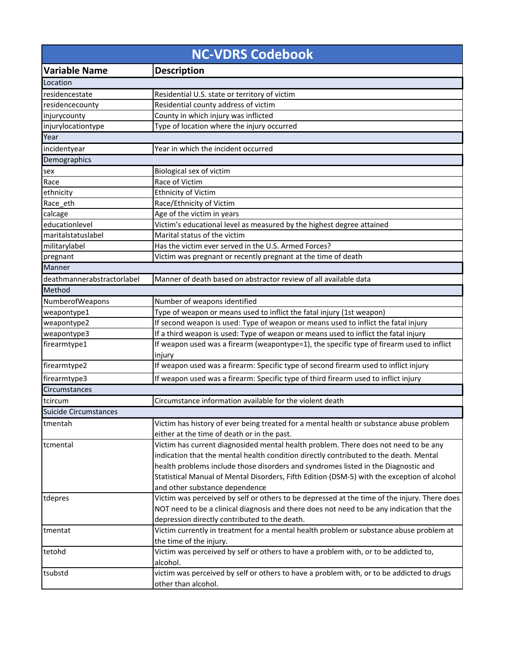| <b>NC-VDRS Codebook</b>      |                                                                                              |  |
|------------------------------|----------------------------------------------------------------------------------------------|--|
| <b>Variable Name</b>         | <b>Description</b>                                                                           |  |
| Location                     |                                                                                              |  |
| residencestate               | Residential U.S. state or territory of victim                                                |  |
| residencecounty              | Residential county address of victim                                                         |  |
| injurycounty                 | County in which injury was inflicted                                                         |  |
| injurylocationtype           | Type of location where the injury occurred                                                   |  |
| Year                         |                                                                                              |  |
| incidentyear                 | Year in which the incident occurred                                                          |  |
| Demographics                 |                                                                                              |  |
| sex                          | Biological sex of victim                                                                     |  |
| Race                         | Race of Victim                                                                               |  |
| ethnicity                    | <b>Ethnicity of Victim</b>                                                                   |  |
| Race_eth                     | Race/Ethnicity of Victim                                                                     |  |
| calcage                      | Age of the victim in years                                                                   |  |
| educationlevel               | Victim's educational level as measured by the highest degree attained                        |  |
| maritalstatuslabel           | Marital status of the victim                                                                 |  |
| militarylabel                | Has the victim ever served in the U.S. Armed Forces?                                         |  |
| pregnant                     | Victim was pregnant or recently pregnant at the time of death                                |  |
| Manner                       |                                                                                              |  |
| deathmannerabstractorlabel   | Manner of death based on abstractor review of all available data                             |  |
| Method                       |                                                                                              |  |
| NumberofWeapons              | Number of weapons identified                                                                 |  |
| weapontype1                  | Type of weapon or means used to inflict the fatal injury (1st weapon)                        |  |
| weapontype2                  | If second weapon is used: Type of weapon or means used to inflict the fatal injury           |  |
| weapontype3                  | If a third weapon is used: Type of weapon or means used to inflict the fatal injury          |  |
| firearmtype1                 | If weapon used was a firearm (weapontype=1), the specific type of firearm used to inflict    |  |
|                              | injury                                                                                       |  |
| firearmtype2                 | If weapon used was a firearm: Specific type of second firearm used to inflict injury         |  |
| firearmtype3                 | If weapon used was a firearm: Specific type of third firearm used to inflict injury          |  |
| Circumstances                |                                                                                              |  |
| tcircum                      | Circumstance information available for the violent death                                     |  |
| <b>Suicide Circumstances</b> |                                                                                              |  |
| tmentah                      | Victim has history of ever being treated for a mental health or substance abuse problem      |  |
|                              | either at the time of death or in the past.                                                  |  |
| tcmental                     | Victim has current diagnosided mental health problem. There does not need to be any          |  |
|                              | indication that the mental health condition directly contributed to the death. Mental        |  |
|                              | health problems include those disorders and syndromes listed in the Diagnostic and           |  |
|                              | Statistical Manual of Mental Disorders, Fifth Edition (DSM-5) with the exception of alcohol  |  |
|                              | and other substance dependence                                                               |  |
| tdepres                      | Victim was perceived by self or others to be depressed at the time of the injury. There does |  |
|                              | NOT need to be a clinical diagnosis and there does not need to be any indication that the    |  |
|                              | depression directly contributed to the death.                                                |  |
| tmentat                      | Victim currently in treatment for a mental health problem or substance abuse problem at      |  |
|                              | the time of the injury.                                                                      |  |
| tetohd                       | Victim was perceived by self or others to have a problem with, or to be addicted to,         |  |
|                              | alcohol.                                                                                     |  |
| tsubstd                      | victim was perceived by self or others to have a problem with, or to be addicted to drugs    |  |
|                              | other than alcohol.                                                                          |  |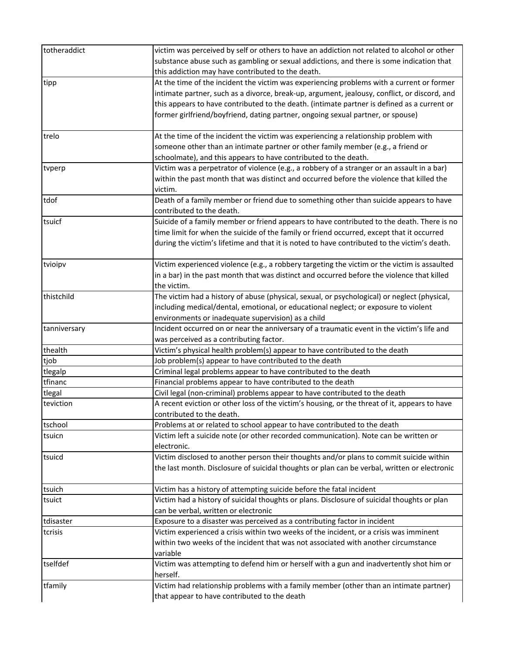| totheraddict | victim was perceived by self or others to have an addiction not related to alcohol or other   |
|--------------|-----------------------------------------------------------------------------------------------|
|              | substance abuse such as gambling or sexual addictions, and there is some indication that      |
|              | this addiction may have contributed to the death.                                             |
| tipp         | At the time of the incident the victim was experiencing problems with a current or former     |
|              | intimate partner, such as a divorce, break-up, argument, jealousy, conflict, or discord, and  |
|              | this appears to have contributed to the death. (intimate partner is defined as a current or   |
|              | former girlfriend/boyfriend, dating partner, ongoing sexual partner, or spouse)               |
|              |                                                                                               |
| trelo        | At the time of the incident the victim was experiencing a relationship problem with           |
|              | someone other than an intimate partner or other family member (e.g., a friend or              |
|              | schoolmate), and this appears to have contributed to the death.                               |
| tvperp       | Victim was a perpetrator of violence (e.g., a robbery of a stranger or an assault in a bar)   |
|              | within the past month that was distinct and occurred before the violence that killed the      |
|              | victim.                                                                                       |
| tdof         | Death of a family member or friend due to something other than suicide appears to have        |
|              | contributed to the death.                                                                     |
| tsuicf       | Suicide of a family member or friend appears to have contributed to the death. There is no    |
|              | time limit for when the suicide of the family or friend occurred, except that it occurred     |
|              | during the victim's lifetime and that it is noted to have contributed to the victim's death.  |
|              |                                                                                               |
| tvioipv      | Victim experienced violence (e.g., a robbery targeting the victim or the victim is assaulted  |
|              | in a bar) in the past month that was distinct and occurred before the violence that killed    |
|              | the victim.                                                                                   |
| thistchild   | The victim had a history of abuse (physical, sexual, or psychological) or neglect (physical,  |
|              | including medical/dental, emotional, or educational neglect; or exposure to violent           |
|              | environments or inadequate supervision) as a child                                            |
| tanniversary | Incident occurred on or near the anniversary of a traumatic event in the victim's life and    |
|              | was perceived as a contributing factor.                                                       |
| thealth      | Victim's physical health problem(s) appear to have contributed to the death                   |
| tjob         | Job problem(s) appear to have contributed to the death                                        |
| tlegalp      | Criminal legal problems appear to have contributed to the death                               |
| tfinanc      | Financial problems appear to have contributed to the death                                    |
| tlegal       | Civil legal (non-criminal) problems appear to have contributed to the death                   |
| teviction    | A recent eviction or other loss of the victim's housing, or the threat of it, appears to have |
|              | contributed to the death.                                                                     |
| tschool      | Problems at or related to school appear to have contributed to the death                      |
| tsuicn       | Victim left a suicide note (or other recorded communication). Note can be written or          |
|              | electronic.                                                                                   |
| tsuicd       | Victim disclosed to another person their thoughts and/or plans to commit suicide within       |
|              | the last month. Disclosure of suicidal thoughts or plan can be verbal, written or electronic  |
|              |                                                                                               |
| tsuich       | Victim has a history of attempting suicide before the fatal incident                          |
| tsuict       | Victim had a history of suicidal thoughts or plans. Disclosure of suicidal thoughts or plan   |
|              | can be verbal, written or electronic                                                          |
| tdisaster    | Exposure to a disaster was perceived as a contributing factor in incident                     |
| tcrisis      | Victim experienced a crisis within two weeks of the incident, or a crisis was imminent        |
|              | within two weeks of the incident that was not associated with another circumstance            |
|              | variable                                                                                      |
| tselfdef     | Victim was attempting to defend him or herself with a gun and inadvertently shot him or       |
|              | herself.                                                                                      |
| tfamily      | Victim had relationship problems with a family member (other than an intimate partner)        |
|              | that appear to have contributed to the death                                                  |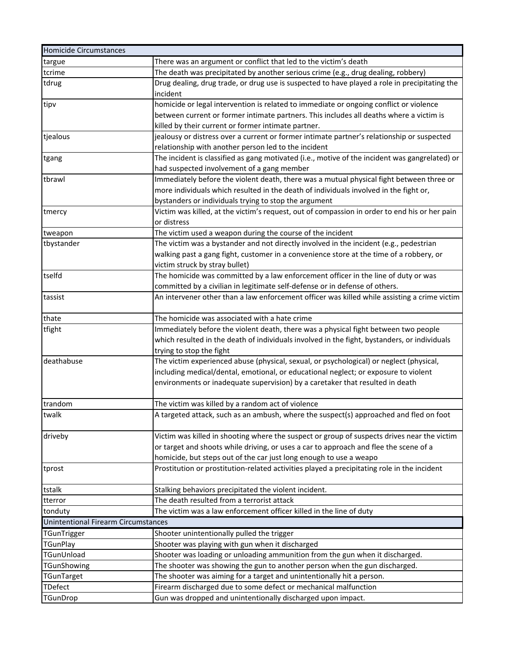| <b>Homicide Circumstances</b>              |                                                                                                              |
|--------------------------------------------|--------------------------------------------------------------------------------------------------------------|
| targue                                     | There was an argument or conflict that led to the victim's death                                             |
| tcrime                                     | The death was precipitated by another serious crime (e.g., drug dealing, robbery)                            |
| tdrug                                      | Drug dealing, drug trade, or drug use is suspected to have played a role in precipitating the<br>incident    |
| tipv                                       | homicide or legal intervention is related to immediate or ongoing conflict or violence                       |
|                                            | between current or former intimate partners. This includes all deaths where a victim is                      |
|                                            | killed by their current or former intimate partner.                                                          |
| tjealous                                   | jealousy or distress over a current or former intimate partner's relationship or suspected                   |
|                                            | relationship with another person led to the incident                                                         |
| tgang                                      | The incident is classified as gang motivated (i.e., motive of the incident was gangrelated) or               |
|                                            | had suspected involvement of a gang member                                                                   |
| tbrawl                                     | Immediately before the violent death, there was a mutual physical fight between three or                     |
|                                            | more individuals which resulted in the death of individuals involved in the fight or,                        |
|                                            | bystanders or individuals trying to stop the argument                                                        |
| tmercy                                     | Victim was killed, at the victim's request, out of compassion in order to end his or her pain<br>or distress |
| tweapon                                    | The victim used a weapon during the course of the incident                                                   |
| tbystander                                 | The victim was a bystander and not directly involved in the incident (e.g., pedestrian                       |
|                                            | walking past a gang fight, customer in a convenience store at the time of a robbery, or                      |
|                                            | victim struck by stray bullet)                                                                               |
| tselfd                                     | The homicide was committed by a law enforcement officer in the line of duty or was                           |
|                                            | committed by a civilian in legitimate self-defense or in defense of others.                                  |
| tassist                                    | An intervener other than a law enforcement officer was killed while assisting a crime victim                 |
| thate                                      | The homicide was associated with a hate crime                                                                |
| tfight                                     | Immediately before the violent death, there was a physical fight between two people                          |
|                                            | which resulted in the death of individuals involved in the fight, bystanders, or individuals                 |
|                                            | trying to stop the fight                                                                                     |
| deathabuse                                 | The victim experienced abuse (physical, sexual, or psychological) or neglect (physical,                      |
|                                            | including medical/dental, emotional, or educational neglect; or exposure to violent                          |
|                                            | environments or inadequate supervision) by a caretaker that resulted in death                                |
| trandom                                    | The victim was killed by a random act of violence                                                            |
| twalk                                      | A targeted attack, such as an ambush, where the suspect(s) approached and fled on foot                       |
| driveby                                    | Victim was killed in shooting where the suspect or group of suspects drives near the victim                  |
|                                            | or target and shoots while driving, or uses a car to approach and flee the scene of a                        |
|                                            | homicide, but steps out of the car just long enough to use a weapo                                           |
| tprost                                     | Prostitution or prostitution-related activities played a precipitating role in the incident                  |
| tstalk                                     | Stalking behaviors precipitated the violent incident.                                                        |
| tterror                                    | The death resulted from a terrorist attack                                                                   |
| tonduty                                    | The victim was a law enforcement officer killed in the line of duty                                          |
| <b>Unintentional Firearm Circumstances</b> |                                                                                                              |
| TGunTrigger                                | Shooter unintentionally pulled the trigger                                                                   |
| <b>TGunPlay</b>                            | Shooter was playing with gun when it discharged                                                              |
| TGunUnload                                 | Shooter was loading or unloading ammunition from the gun when it discharged.                                 |
| TGunShowing                                | The shooter was showing the gun to another person when the gun discharged.                                   |
| TGunTarget                                 | The shooter was aiming for a target and unintentionally hit a person.                                        |
| TDefect                                    | Firearm discharged due to some defect or mechanical malfunction                                              |
| TGunDrop                                   | Gun was dropped and unintentionally discharged upon impact.                                                  |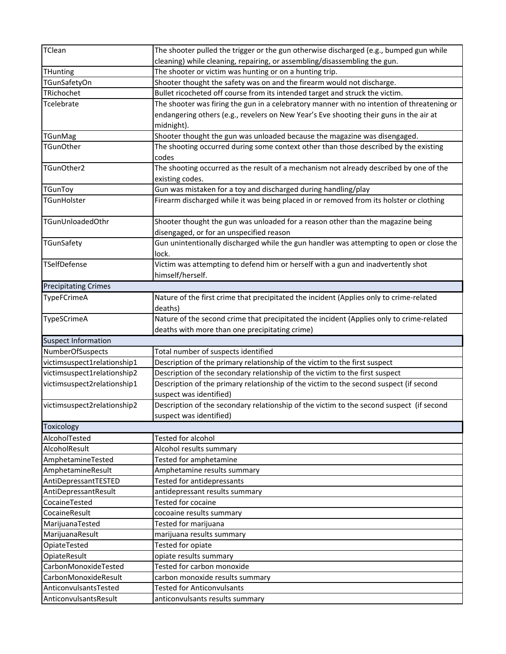| TClean                      | The shooter pulled the trigger or the gun otherwise discharged (e.g., bumped gun while     |
|-----------------------------|--------------------------------------------------------------------------------------------|
|                             | cleaning) while cleaning, repairing, or assembling/disassembling the gun.                  |
| THunting                    | The shooter or victim was hunting or on a hunting trip.                                    |
| TGunSafetyOn                | Shooter thought the safety was on and the firearm would not discharge.                     |
| TRichochet                  | Bullet ricocheted off course from its intended target and struck the victim.               |
| Tcelebrate                  | The shooter was firing the gun in a celebratory manner with no intention of threatening or |
|                             | endangering others (e.g., revelers on New Year's Eve shooting their guns in the air at     |
|                             | midnight).                                                                                 |
| <b>TGunMag</b>              | Shooter thought the gun was unloaded because the magazine was disengaged.                  |
| <b>TGunOther</b>            | The shooting occurred during some context other than those described by the existing       |
|                             | codes                                                                                      |
| TGunOther2                  | The shooting occurred as the result of a mechanism not already described by one of the     |
|                             | existing codes.                                                                            |
| TGunToy                     | Gun was mistaken for a toy and discharged during handling/play                             |
| TGunHolster                 | Firearm discharged while it was being placed in or removed from its holster or clothing    |
|                             |                                                                                            |
| TGunUnloadedOthr            | Shooter thought the gun was unloaded for a reason other than the magazine being            |
|                             | disengaged, or for an unspecified reason                                                   |
| TGunSafety                  | Gun unintentionally discharged while the gun handler was attempting to open or close the   |
|                             | lock.                                                                                      |
| TSelfDefense                | Victim was attempting to defend him or herself with a gun and inadvertently shot           |
|                             | himself/herself.                                                                           |
| <b>Precipitating Crimes</b> |                                                                                            |
| TypeFCrimeA                 | Nature of the first crime that precipitated the incident (Applies only to crime-related    |
|                             | deaths)                                                                                    |
| TypeSCrimeA                 | Nature of the second crime that precipitated the incident (Applies only to crime-related   |
|                             | deaths with more than one precipitating crime)                                             |
| <b>Suspect Information</b>  |                                                                                            |
| NumberOfSuspects            | Total number of suspects identified                                                        |
| victimsuspect1relationship1 | Description of the primary relationship of the victim to the first suspect                 |
| victimsuspect1relationship2 | Description of the secondary relationship of the victim to the first suspect               |
| victimsuspect2relationship1 | Description of the primary relationship of the victim to the second suspect (if second     |
|                             | suspect was identified)                                                                    |
| victimsuspect2relationship2 | Description of the secondary relationship of the victim to the second suspect (if second   |
|                             | suspect was identified)                                                                    |
| Toxicology                  |                                                                                            |
| AlcoholTested               | Tested for alcohol                                                                         |
| AlcoholResult               | Alcohol results summary                                                                    |
| AmphetamineTested           | Tested for amphetamine                                                                     |
| AmphetamineResult           | Amphetamine results summary                                                                |
| AntiDepressantTESTED        | Tested for antidepressants                                                                 |
| AntiDepressantResult        | antidepressant results summary                                                             |
| CocaineTested               | <b>Tested for cocaine</b>                                                                  |
| CocaineResult               | cocoaine results summary                                                                   |
| MarijuanaTested             | Tested for marijuana                                                                       |
| MarijuanaResult             | marijuana results summary                                                                  |
| OpiateTested                | Tested for opiate                                                                          |
| OpiateResult                | opiate results summary                                                                     |
| CarbonMonoxideTested        | Tested for carbon monoxide                                                                 |
| CarbonMonoxideResult        | carbon monoxide results summary                                                            |
| AnticonvulsantsTested       | <b>Tested for Anticonvulsants</b>                                                          |
| AnticonvulsantsResult       | anticonvulsants results summary                                                            |